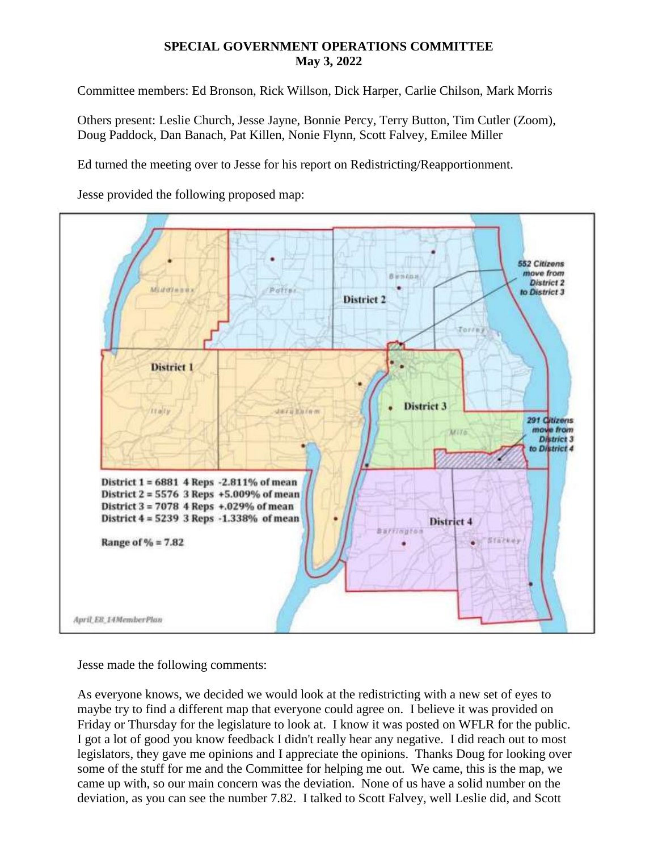## **SPECIAL GOVERNMENT OPERATIONS COMMITTEE May 3, 2022**

Committee members: Ed Bronson, Rick Willson, Dick Harper, Carlie Chilson, Mark Morris

Others present: Leslie Church, Jesse Jayne, Bonnie Percy, Terry Button, Tim Cutler (Zoom), Doug Paddock, Dan Banach, Pat Killen, Nonie Flynn, Scott Falvey, Emilee Miller

Ed turned the meeting over to Jesse for his report on Redistricting/Reapportionment.

Jesse provided the following proposed map:



Jesse made the following comments:

As everyone knows, we decided we would look at the redistricting with a new set of eyes to maybe try to find a different map that everyone could agree on. I believe it was provided on Friday or Thursday for the legislature to look at. I know it was posted on WFLR for the public. I got a lot of good you know feedback I didn't really hear any negative. I did reach out to most legislators, they gave me opinions and I appreciate the opinions. Thanks Doug for looking over some of the stuff for me and the Committee for helping me out. We came, this is the map, we came up with, so our main concern was the deviation. None of us have a solid number on the deviation, as you can see the number 7.82. I talked to Scott Falvey, well Leslie did, and Scott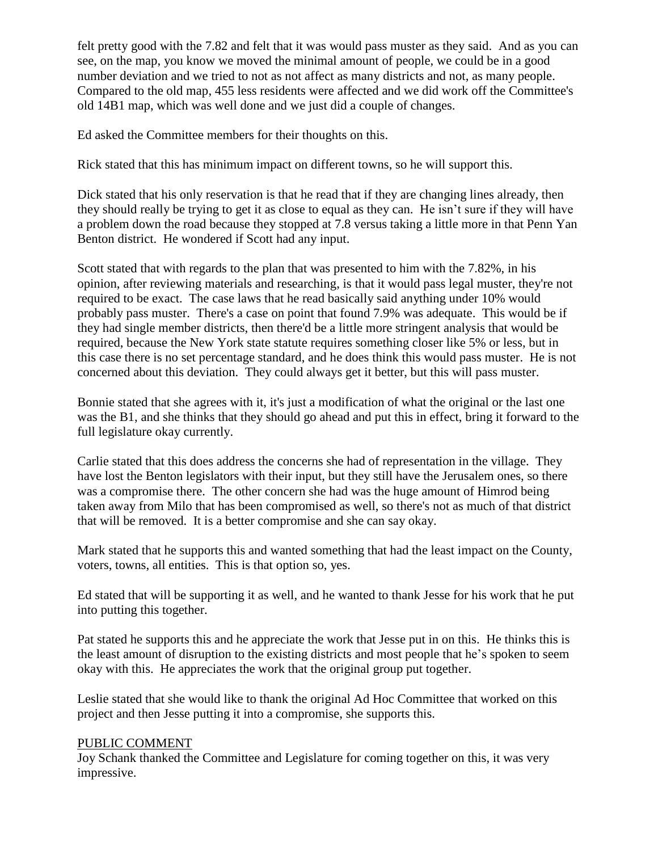felt pretty good with the 7.82 and felt that it was would pass muster as they said. And as you can see, on the map, you know we moved the minimal amount of people, we could be in a good number deviation and we tried to not as not affect as many districts and not, as many people. Compared to the old map, 455 less residents were affected and we did work off the Committee's old 14B1 map, which was well done and we just did a couple of changes.

Ed asked the Committee members for their thoughts on this.

Rick stated that this has minimum impact on different towns, so he will support this.

Dick stated that his only reservation is that he read that if they are changing lines already, then they should really be trying to get it as close to equal as they can. He isn't sure if they will have a problem down the road because they stopped at 7.8 versus taking a little more in that Penn Yan Benton district. He wondered if Scott had any input.

Scott stated that with regards to the plan that was presented to him with the 7.82%, in his opinion, after reviewing materials and researching, is that it would pass legal muster, they're not required to be exact. The case laws that he read basically said anything under 10% would probably pass muster. There's a case on point that found 7.9% was adequate. This would be if they had single member districts, then there'd be a little more stringent analysis that would be required, because the New York state statute requires something closer like 5% or less, but in this case there is no set percentage standard, and he does think this would pass muster. He is not concerned about this deviation. They could always get it better, but this will pass muster.

Bonnie stated that she agrees with it, it's just a modification of what the original or the last one was the B1, and she thinks that they should go ahead and put this in effect, bring it forward to the full legislature okay currently.

Carlie stated that this does address the concerns she had of representation in the village. They have lost the Benton legislators with their input, but they still have the Jerusalem ones, so there was a compromise there. The other concern she had was the huge amount of Himrod being taken away from Milo that has been compromised as well, so there's not as much of that district that will be removed. It is a better compromise and she can say okay.

Mark stated that he supports this and wanted something that had the least impact on the County, voters, towns, all entities. This is that option so, yes.

Ed stated that will be supporting it as well, and he wanted to thank Jesse for his work that he put into putting this together.

Pat stated he supports this and he appreciate the work that Jesse put in on this. He thinks this is the least amount of disruption to the existing districts and most people that he's spoken to seem okay with this. He appreciates the work that the original group put together.

Leslie stated that she would like to thank the original Ad Hoc Committee that worked on this project and then Jesse putting it into a compromise, she supports this.

## PUBLIC COMMENT

Joy Schank thanked the Committee and Legislature for coming together on this, it was very impressive.